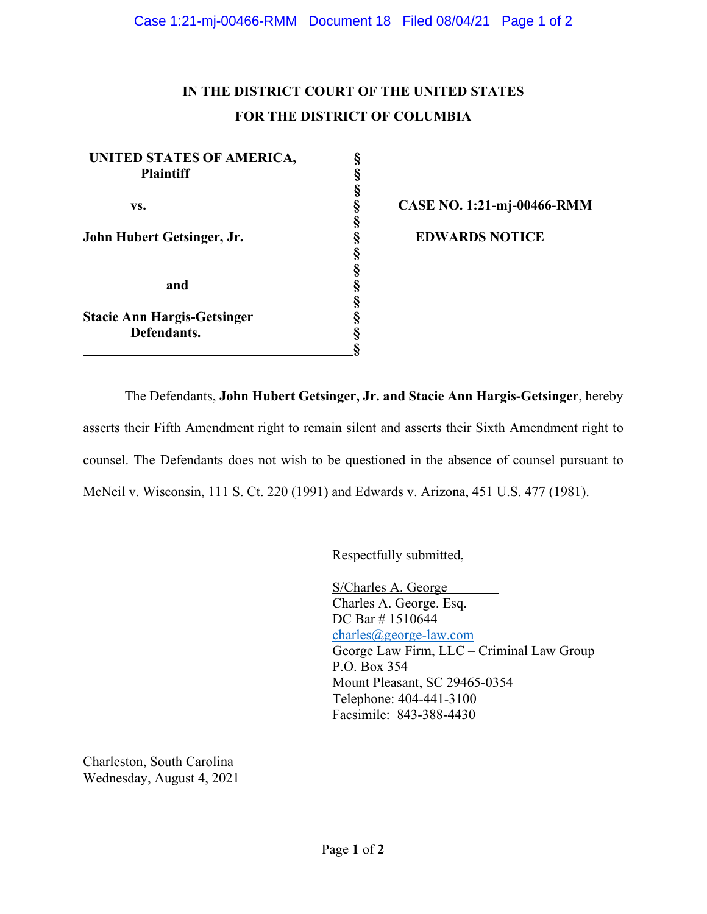## **IN THE DISTRICT COURT OF THE UNITED STATES FOR THE DISTRICT OF COLUMBIA**

**§**

**UNITED STATES OF AMERICA, § Plaintiff § vs. § CASE NO. 1:21-mj-00466-RMM § John Hubert Getsinger, Jr. § EDWARDS NOTICE § § and § § Stacie Ann Hargis-Getsinger § Defendants. § §**

The Defendants, **John Hubert Getsinger, Jr. and Stacie Ann Hargis-Getsinger**, hereby asserts their Fifth Amendment right to remain silent and asserts their Sixth Amendment right to counsel. The Defendants does not wish to be questioned in the absence of counsel pursuant to McNeil v. Wisconsin, 111 S. Ct. 220 (1991) and Edwards v. Arizona, 451 U.S. 477 (1981).

Respectfully submitted,

S/Charles A. George Charles A. George. Esq. DC Bar #1510644 charles@george-law.com George Law Firm, LLC – Criminal Law Group P.O. Box 354 Mount Pleasant, SC 29465-0354 Telephone: 404-441-3100 Facsimile: 843-388-4430

Charleston, South Carolina Wednesday, August 4, 2021